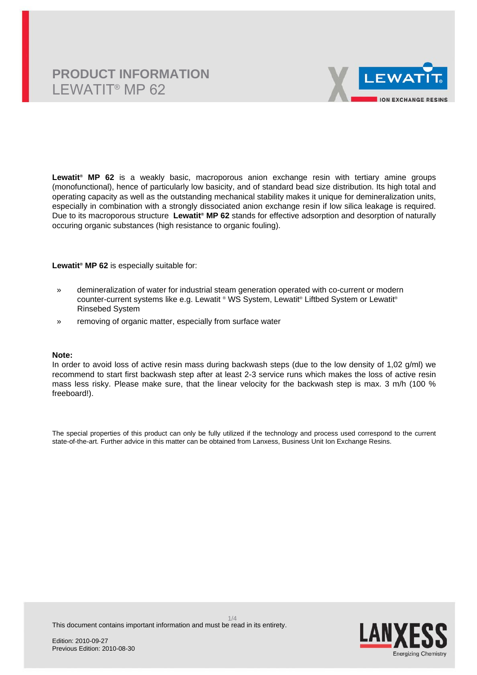# **PRODUCT INFORMATION** LEWATIT® MP 62



**Lewatit® MP 62** is a weakly basic, macroporous anion exchange resin with tertiary amine groups (monofunctional), hence of particularly low basicity, and of standard bead size distribution. Its high total and operating capacity as well as the outstanding mechanical stability makes it unique for demineralization units, especially in combination with a strongly dissociated anion exchange resin if low silica leakage is required. Due to its macroporous structure **Lewatit® MP 62** stands for effective adsorption and desorption of naturally occuring organic substances (high resistance to organic fouling).

**Lewatit® MP 62** is especially suitable for:

- » demineralization of water for industrial steam generation operated with co-current or modern counter-current systems like e.g. Lewatit ® WS System, Lewatit® Liftbed System or Lewatit® Rinsebed System
- » removing of organic matter, especially from surface water

### **Note:**

In order to avoid loss of active resin mass during backwash steps (due to the low density of 1,02 g/ml) we recommend to start first backwash step after at least 2-3 service runs which makes the loss of active resin mass less risky. Please make sure, that the linear velocity for the backwash step is max. 3 m/h (100 % freeboard!).

The special properties of this product can only be fully utilized if the technology and process used correspond to the current state-of-the-art. Further advice in this matter can be obtained from Lanxess, Business Unit Ion Exchange Resins.

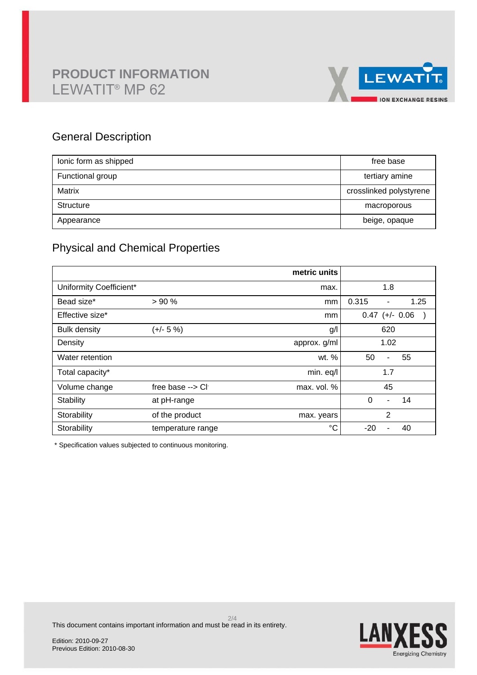# **PRODUCT INFORMATION** LEWATIT® MP 62



### General Description

| lonic form as shipped | free base               |
|-----------------------|-------------------------|
| Functional group      | tertiary amine          |
| Matrix                | crosslinked polystyrene |
| Structure             | macroporous             |
| Appearance            | beige, opaque           |

## Physical and Chemical Properties

|                         |                            | metric units |                                               |
|-------------------------|----------------------------|--------------|-----------------------------------------------|
| Uniformity Coefficient* |                            | max.         | 1.8                                           |
| Bead size*              | > 90%                      | mm           | 0.315<br>1.25<br>$\qquad \qquad \blacksquare$ |
| Effective size*         |                            | mm           | $0.47$ (+/- 0.06                              |
| <b>Bulk density</b>     | $(+/- 5 %)$                | g/           | 620                                           |
| Density                 |                            | approx. g/ml | 1.02                                          |
| Water retention         |                            | wt. %        | 50<br>55<br>ä,                                |
| Total capacity*         |                            | min. eq/l    | 1.7                                           |
| Volume change           | free base $\rightarrow$ Cl | max. vol. %  | 45                                            |
| Stability               | at pH-range                |              | 0<br>14<br>-                                  |
| Storability             | of the product             | max. years   | 2                                             |
| Storability             | temperature range          | °C           | $-20$<br>40                                   |

\* Specification values subjected to continuous monitoring.

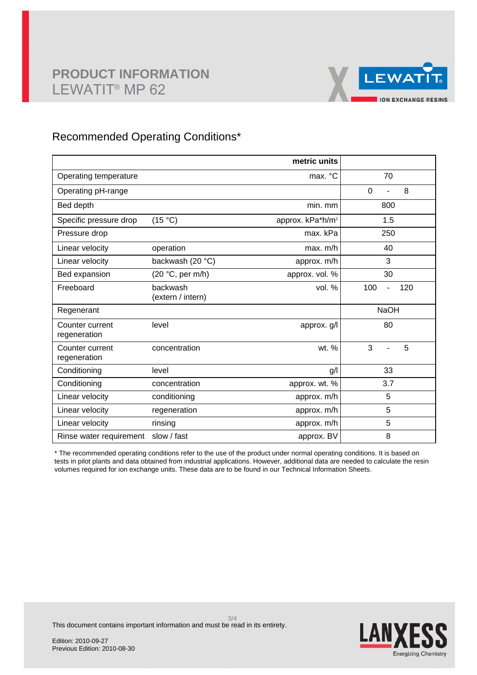

### Recommended Operating Conditions\*

|                                 |                               | metric units                 |                  |
|---------------------------------|-------------------------------|------------------------------|------------------|
| Operating temperature           |                               | max. °C                      | 70               |
| Operating pH-range              |                               |                              | 8<br>$\mathbf 0$ |
| Bed depth                       |                               | min. mm                      | 800              |
| Specific pressure drop          | (15 °C)                       | approx. kPa*h/m <sup>2</sup> | 1.5              |
| Pressure drop                   |                               | max. kPa                     | 250              |
| Linear velocity                 | operation                     | max. m/h                     | 40               |
| Linear velocity                 | backwash (20 °C)              | approx. m/h                  | 3                |
| Bed expansion                   | (20 °C, per m/h)              | approx. vol. %               | 30               |
| Freeboard                       | backwash<br>(extern / intern) | vol. %                       | 100<br>120<br>L, |
| Regenerant                      |                               |                              | <b>NaOH</b>      |
| Counter current<br>regeneration | level                         | approx. g/l                  | 80               |
| Counter current<br>regeneration | concentration                 | wt. %                        | 3<br>5<br>÷,     |
| Conditioning                    | level                         | g/                           | 33               |
| Conditioning                    | concentration                 | approx. wt. %                | 3.7              |
| Linear velocity                 | conditioning                  | approx. m/h                  | 5                |
| Linear velocity                 | regeneration                  | approx. m/h                  | 5                |
| Linear velocity                 | rinsing                       | approx. m/h                  | 5                |
| Rinse water requirement         | slow / fast                   | approx. BV                   | 8                |

\* The recommended operating conditions refer to the use of the product under normal operating conditions. It is based on tests in pilot plants and data obtained from industrial applications. However, additional data are needed to calculate the resin volumes required for ion exchange units. These data are to be found in our Technical Information Sheets.